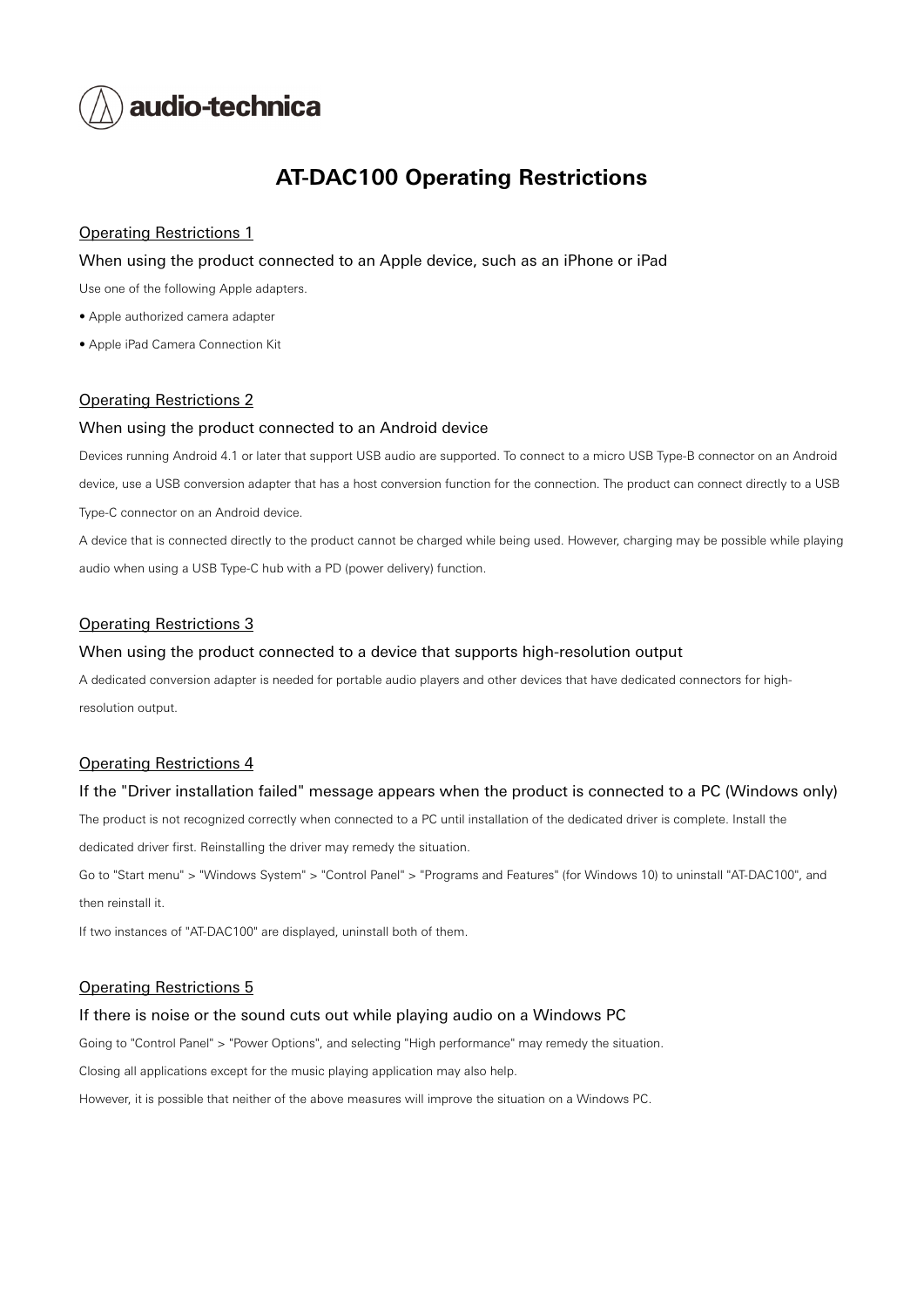

# **AT-DAC100 Operating Restrictions**

# Operating Restrictions 1

#### When using the product connected to an Apple device, such as an iPhone or iPad

Use one of the following Apple adapters.

- Apple authorized camera adapter
- Apple iPad Camera Connection Kit

#### Operating Restrictions 2

#### When using the product connected to an Android device

Devices running Android 4.1 or later that support USB audio are supported. To connect to a micro USB Type-B connector on an Android device, use a USB conversion adapter that has a host conversion function for the connection. The product can connect directly to a USB Type-C connector on an Android device.

A device that is connected directly to the product cannot be charged while being used. However, charging may be possible while playing audio when using a USB Type-C hub with a PD (power delivery) function.

## Operating Restrictions 3

#### When using the product connected to a device that supports high-resolution output

A dedicated conversion adapter is needed for portable audio players and other devices that have dedicated connectors for highresolution output.

#### Operating Restrictions 4

#### If the "Driver installation failed" message appears when the product is connected to a PC (Windows only)

The product is not recognized correctly when connected to a PC until installation of the dedicated driver is complete. Install the

dedicated driver first. Reinstalling the driver may remedy the situation.

Go to "Start menu" > "Windows System" > "Control Panel" > "Programs and Features" (for Windows 10) to uninstall "AT-DAC100", and then reinstall it.

If two instances of "AT-DAC100" are displayed, uninstall both of them.

#### Operating Restrictions 5

#### If there is noise or the sound cuts out while playing audio on a Windows PC

Going to "Control Panel" > "Power Options", and selecting "High performance" may remedy the situation.

Closing all applications except for the music playing application may also help.

However, it is possible that neither of the above measures will improve the situation on a Windows PC.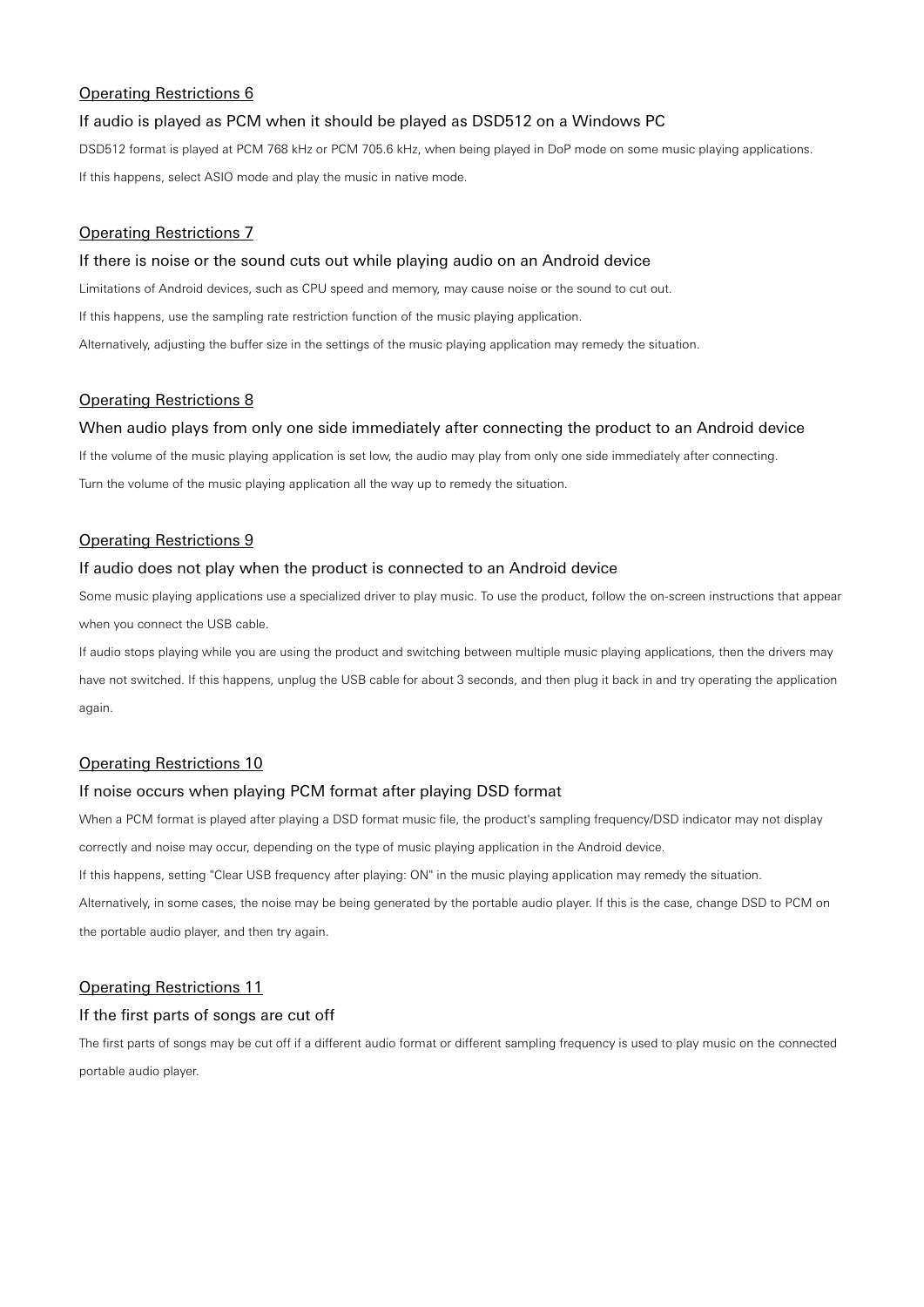# Operating Restrictions 6

## If audio is played as PCM when it should be played as DSD512 on a Windows PC

DSD512 format is played at PCM 768 kHz or PCM 705.6 kHz, when being played in DoP mode on some music playing applications. If this happens, select ASIO mode and play the music in native mode.

## Operating Restrictions 7

#### If there is noise or the sound cuts out while playing audio on an Android device

Limitations of Android devices, such as CPU speed and memory, may cause noise or the sound to cut out. If this happens, use the sampling rate restriction function of the music playing application. Alternatively, adjusting the buffer size in the settings of the music playing application may remedy the situation.

#### Operating Restrictions 8

#### When audio plays from only one side immediately after connecting the product to an Android device

If the volume of the music playing application is set low, the audio may play from only one side immediately after connecting. Turn the volume of the music playing application all the way up to remedy the situation.

## Operating Restrictions 9

#### If audio does not play when the product is connected to an Android device

Some music playing applications use a specialized driver to play music. To use the product, follow the on-screen instructions that appear when you connect the USB cable.

If audio stops playing while you are using the product and switching between multiple music playing applications, then the drivers may have not switched. If this happens, unplug the USB cable for about 3 seconds, and then plug it back in and try operating the application again.

#### Operating Restrictions 10

#### If noise occurs when playing PCM format after playing DSD format

When a PCM format is played after playing a DSD format music file, the product's sampling frequency/DSD indicator may not display correctly and noise may occur, depending on the type of music playing application in the Android device. If this happens, setting "Clear USB frequency after playing: ON" in the music playing application may remedy the situation. Alternatively, in some cases, the noise may be being generated by the portable audio player. If this is the case, change DSD to PCM on

the portable audio player, and then try again.

#### Operating Restrictions 11

## If the first parts of songs are cut off

The first parts of songs may be cut off if a different audio format or different sampling frequency is used to play music on the connected portable audio player.